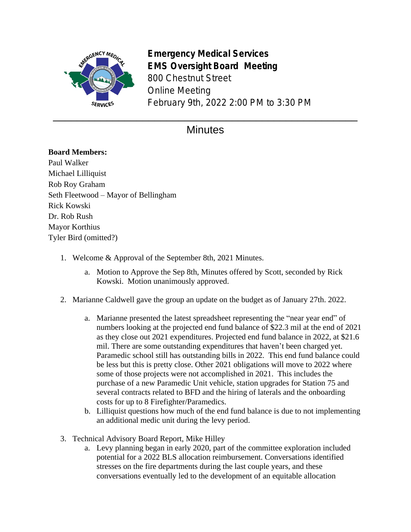

**Emergency Medical Services EMS Oversight Board Meeting** 800 Chestnut Street Online Meeting February 9th, 2022 2:00 PM to 3:30 PM

## **Minutes**

## **Board Members:**

Paul Walker Michael Lilliquist Rob Roy Graham Seth Fleetwood – Mayor of Bellingham Rick Kowski Dr. Rob Rush Mayor Korthius Tyler Bird (omitted?)

- 1. Welcome & Approval of the September 8th, 2021 Minutes.
	- a. Motion to Approve the Sep 8th, Minutes offered by Scott, seconded by Rick Kowski. Motion unanimously approved.
- 2. Marianne Caldwell gave the group an update on the budget as of January 27th. 2022.
	- a. Marianne presented the latest spreadsheet representing the "near year end" of numbers looking at the projected end fund balance of \$22.3 mil at the end of 2021 as they close out 2021 expenditures. Projected end fund balance in 2022, at \$21.6 mil. There are some outstanding expenditures that haven't been charged yet. Paramedic school still has outstanding bills in 2022. This end fund balance could be less but this is pretty close. Other 2021 obligations will move to 2022 where some of those projects were not accomplished in 2021. This includes the purchase of a new Paramedic Unit vehicle, station upgrades for Station 75 and several contracts related to BFD and the hiring of laterals and the onboarding costs for up to 8 Firefighter/Paramedics.
	- b. Lilliquist questions how much of the end fund balance is due to not implementing an additional medic unit during the levy period.
- 3. Technical Advisory Board Report, Mike Hilley
	- a. Levy planning began in early 2020, part of the committee exploration included potential for a 2022 BLS allocation reimbursement. Conversations identified stresses on the fire departments during the last couple years, and these conversations eventually led to the development of an equitable allocation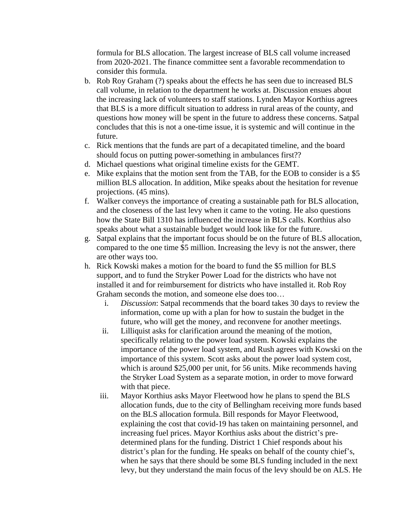formula for BLS allocation. The largest increase of BLS call volume increased from 2020-2021. The finance committee sent a favorable recommendation to consider this formula.

- b. Rob Roy Graham (?) speaks about the effects he has seen due to increased BLS call volume, in relation to the department he works at. Discussion ensues about the increasing lack of volunteers to staff stations. Lynden Mayor Korthius agrees that BLS is a more difficult situation to address in rural areas of the county, and questions how money will be spent in the future to address these concerns. Satpal concludes that this is not a one-time issue, it is systemic and will continue in the future.
- c. Rick mentions that the funds are part of a decapitated timeline, and the board should focus on putting power-something in ambulances first??
- d. Michael questions what original timeline exists for the GEMT.
- e. Mike explains that the motion sent from the TAB, for the EOB to consider is a \$5 million BLS allocation. In addition, Mike speaks about the hesitation for revenue projections. (45 mins).
- f. Walker conveys the importance of creating a sustainable path for BLS allocation, and the closeness of the last levy when it came to the voting. He also questions how the State Bill 1310 has influenced the increase in BLS calls. Korthius also speaks about what a sustainable budget would look like for the future.
- g. Satpal explains that the important focus should be on the future of BLS allocation, compared to the one time \$5 million. Increasing the levy is not the answer, there are other ways too.
- h. Rick Kowski makes a motion for the board to fund the \$5 million for BLS support, and to fund the Stryker Power Load for the districts who have not installed it and for reimbursement for districts who have installed it. Rob Roy Graham seconds the motion, and someone else does too…
	- i. *Discussion*: Satpal recommends that the board takes 30 days to review the information, come up with a plan for how to sustain the budget in the future, who will get the money, and reconvene for another meetings.
	- ii. Lilliquist asks for clarification around the meaning of the motion, specifically relating to the power load system. Kowski explains the importance of the power load system, and Rush agrees with Kowski on the importance of this system. Scott asks about the power load system cost, which is around \$25,000 per unit, for 56 units. Mike recommends having the Stryker Load System as a separate motion, in order to move forward with that piece.
	- iii. Mayor Korthius asks Mayor Fleetwood how he plans to spend the BLS allocation funds, due to the city of Bellingham receiving more funds based on the BLS allocation formula. Bill responds for Mayor Fleetwood, explaining the cost that covid-19 has taken on maintaining personnel, and increasing fuel prices. Mayor Korthius asks about the district's predetermined plans for the funding. District 1 Chief responds about his district's plan for the funding. He speaks on behalf of the county chief's, when he says that there should be some BLS funding included in the next levy, but they understand the main focus of the levy should be on ALS. He